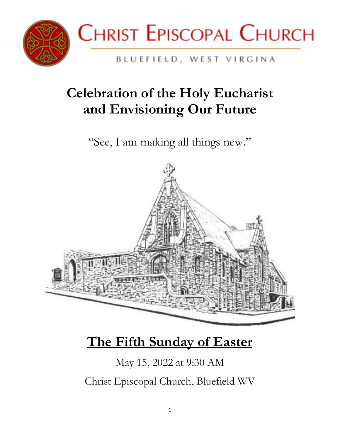



#### BLUEFIELD, WEST VIRGINA

# **Celebration of the Holy Eucharist and Envisioning Our Future**

"See, I am making all things new."



# **The Fifth Sunday of Easter**

May 15, 2022 at 9:30 AM Christ Episcopal Church, Bluefield WV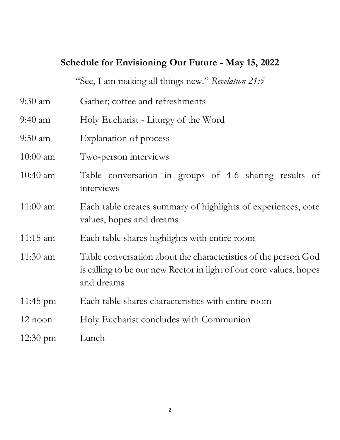#### **Schedule for Envisioning Our Future - May 15, 2022**

"See, I am making all things new." *Revelation 21:5*

- 9:30 am Gather; coffee and refreshments
- 9:40 am Holy Eucharist Liturgy of the Word
- 9:50 am Explanation of process
- 10:00 am Two-person interviews
- 10:40 am Table conversation in groups of 4-6 sharing results of interviews
- 11:00 am Each table creates summary of highlights of experiences, core values, hopes and dreams
- 11:15 am Each table shares highlights with entire room
- 11:30 am Table conversation about the characteristics of the person God is calling to be our new Rector in light of our core values, hopes and dreams
- 11:45 pm Each table shares characteristics with entire room
- 12 noon Holy Eucharist concludes with Communion
- 12:30 pm Lunch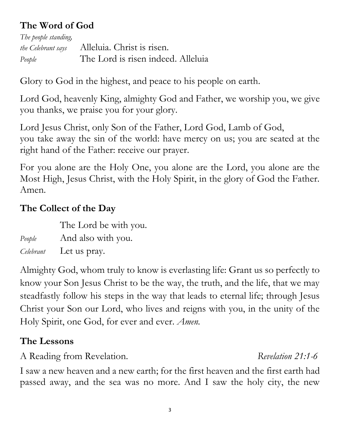# **The Word of God**

*The people standing, the Celebrant says* Alleluia. Christ is risen. *People* The Lord is risen indeed. Alleluia

Glory to God in the highest, and peace to his people on earth.

Lord God, heavenly King, almighty God and Father, we worship you, we give you thanks, we praise you for your glory.

Lord Jesus Christ, only Son of the Father, Lord God, Lamb of God, you take away the sin of the world: have mercy on us; you are seated at the right hand of the Father: receive our prayer.

For you alone are the Holy One, you alone are the Lord, you alone are the Most High, Jesus Christ, with the Holy Spirit, in the glory of God the Father. Amen.

#### **The Collect of the Day**

The Lord be with you.

*People* And also with you.

*Celebrant* Let us pray.

Almighty God, whom truly to know is everlasting life: Grant us so perfectly to know your Son Jesus Christ to be the way, the truth, and the life, that we may steadfastly follow his steps in the way that leads to eternal life; through Jesus Christ your Son our Lord, who lives and reigns with you, in the unity of the Holy Spirit, one God, for ever and ever. *Amen.*

### **The Lessons**

A Reading from Revelation. *Revelation 21:1-6*

I saw a new heaven and a new earth; for the first heaven and the first earth had passed away, and the sea was no more. And I saw the holy city, the new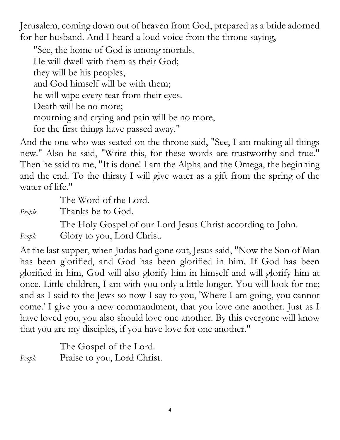Jerusalem, coming down out of heaven from God, prepared as a bride adorned for her husband. And I heard a loud voice from the throne saying,

"See, the home of God is among mortals. He will dwell with them as their God; they will be his peoples, and God himself will be with them; he will wipe every tear from their eyes. Death will be no more; mourning and crying and pain will be no more, for the first things have passed away."

And the one who was seated on the throne said, "See, I am making all things new." Also he said, "Write this, for these words are trustworthy and true." Then he said to me, "It is done! I am the Alpha and the Omega, the beginning and the end. To the thirsty I will give water as a gift from the spring of the water of life."

The Word of the Lord.

*People* Thanks be to God.

The Holy Gospel of our Lord Jesus Christ according to John.

*People* Glory to you, Lord Christ.

At the last supper, when Judas had gone out, Jesus said, "Now the Son of Man has been glorified, and God has been glorified in him. If God has been glorified in him, God will also glorify him in himself and will glorify him at once. Little children, I am with you only a little longer. You will look for me; and as I said to the Jews so now I say to you, 'Where I am going, you cannot come.' I give you a new commandment, that you love one another. Just as I have loved you, you also should love one another. By this everyone will know that you are my disciples, if you have love for one another."

The Gospel of the Lord. *People* Praise to you, Lord Christ.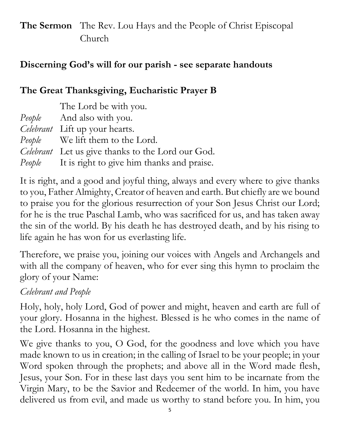# **The Sermon** The Rev. Lou Hays and the People of Christ Episcopal Church

## **Discerning God's will for our parish - see separate handouts**

# **The Great Thanksgiving, Eucharistic Prayer B**

| The Lord be with you.                                    |
|----------------------------------------------------------|
| <i>People</i> And also with you.                         |
| Celebrant Lift up your hearts.                           |
| <i>People</i> We lift them to the Lord.                  |
| <i>Celebrant</i> Let us give thanks to the Lord our God. |
| <i>People</i> It is right to give him thanks and praise. |

It is right, and a good and joyful thing, always and every where to give thanks to you, Father Almighty, Creator of heaven and earth. But chiefly are we bound to praise you for the glorious resurrection of your Son Jesus Christ our Lord; for he is the true Paschal Lamb, who was sacrificed for us, and has taken away the sin of the world. By his death he has destroyed death, and by his rising to life again he has won for us everlasting life.

Therefore, we praise you, joining our voices with Angels and Archangels and with all the company of heaven, who for ever sing this hymn to proclaim the glory of your Name:

# *Celebrant and People*

Holy, holy, holy Lord, God of power and might, heaven and earth are full of your glory. Hosanna in the highest. Blessed is he who comes in the name of the Lord. Hosanna in the highest.

We give thanks to you, O God, for the goodness and love which you have made known to us in creation; in the calling of Israel to be your people; in your Word spoken through the prophets; and above all in the Word made flesh, Jesus, your Son. For in these last days you sent him to be incarnate from the Virgin Mary, to be the Savior and Redeemer of the world. In him, you have delivered us from evil, and made us worthy to stand before you. In him, you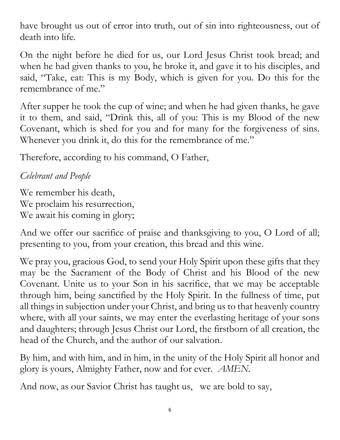have brought us out of error into truth, out of sin into righteousness, out of death into life.

On the night before he died for us, our Lord Jesus Christ took bread; and when he had given thanks to you, he broke it, and gave it to his disciples, and said, "Take, eat: This is my Body, which is given for you. Do this for the remembrance of me."

After supper he took the cup of wine; and when he had given thanks, he gave it to them, and said, "Drink this, all of you: This is my Blood of the new Covenant, which is shed for you and for many for the forgiveness of sins. Whenever you drink it, do this for the remembrance of me."

Therefore, according to his command, O Father,

*Celebrant and People*

We remember his death, We proclaim his resurrection, We await his coming in glory;

And we offer our sacrifice of praise and thanksgiving to you, O Lord of all; presenting to you, from your creation, this bread and this wine.

We pray you, gracious God, to send your Holy Spirit upon these gifts that they may be the Sacrament of the Body of Christ and his Blood of the new Covenant. Unite us to your Son in his sacrifice, that we may be acceptable through him, being sanctified by the Holy Spirit. In the fullness of time, put all things in subjection under your Christ, and bring us to that heavenly country where, with all your saints, we may enter the everlasting heritage of your sons and daughters; through Jesus Christ our Lord, the firstborn of all creation, the head of the Church, and the author of our salvation.

By him, and with him, and in him, in the unity of the Holy Spirit all honor and glory is yours, Almighty Father, now and for ever. *AMEN.*

And now, as our Savior Christ has taught us, we are bold to say,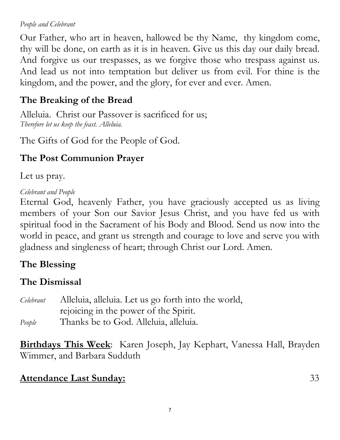#### *People and Celebrant*

Our Father, who art in heaven, hallowed be thy Name, thy kingdom come, thy will be done, on earth as it is in heaven. Give us this day our daily bread. And forgive us our trespasses, as we forgive those who trespass against us. And lead us not into temptation but deliver us from evil. For thine is the kingdom, and the power, and the glory, for ever and ever. Amen.

## **The Breaking of the Bread**

Alleluia. Christ our Passover is sacrificed for us; *Therefore let us keep the feast. Alleluia.*

The Gifts of God for the People of God.

# **The Post Communion Prayer**

Let us pray.

#### *Celebrant and People*

Eternal God, heavenly Father, you have graciously accepted us as living members of your Son our Savior Jesus Christ, and you have fed us with spiritual food in the Sacrament of his Body and Blood. Send us now into the world in peace, and grant us strength and courage to love and serve you with gladness and singleness of heart; through Christ our Lord. Amen.

# **The Blessing**

### **The Dismissal**

*Celebrant* Alleluia, alleluia. Let us go forth into the world, rejoicing in the power of the Spirit. *People* Thanks be to God. Alleluia, alleluia.

**Birthdays This Week**: Karen Joseph, Jay Kephart, Vanessa Hall, Brayden Wimmer, and Barbara Sudduth

#### **Attendance Last Sunday:** 33